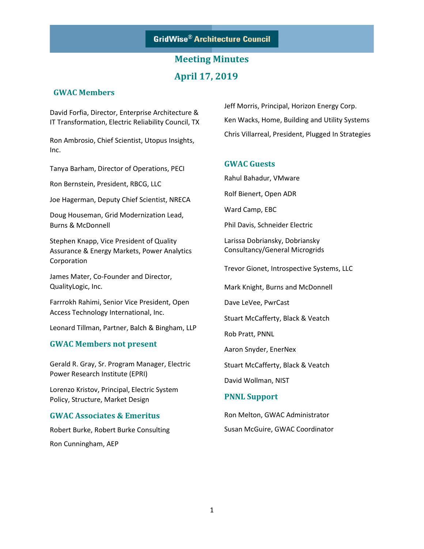# **Meeting Minutes April 17, 2019**

#### **GWAC Members**

David Forfia, Director, Enterprise Architecture & IT Transformation, Electric Reliability Council, TX

Ron Ambrosio, Chief Scientist, Utopus Insights, Inc.

Tanya Barham, Director of Operations, PECI

Ron Bernstein, President, RBCG, LLC

Joe Hagerman, Deputy Chief Scientist, NRECA

Doug Houseman, Grid Modernization Lead, Burns & McDonnell

Stephen Knapp, Vice President of Quality Assurance & Energy Markets, Power Analytics Corporation

James Mater, Co-Founder and Director, QualityLogic, Inc.

Farrrokh Rahimi, Senior Vice President, Open Access Technology International, Inc.

Leonard Tillman, Partner, Balch & Bingham, LLP

#### **GWAC Members not present**

Gerald R. Gray, Sr. Program Manager, Electric Power Research Institute (EPRI)

Lorenzo Kristov, Principal, Electric System Policy, Structure, Market Design

#### **GWAC Associates & Emeritus**

Robert Burke, Robert Burke Consulting Ron Cunningham, AEP

Jeff Morris, Principal, Horizon Energy Corp. Ken Wacks, Home, Building and Utility Systems Chris Villarreal, President, Plugged In Strategies

#### **GWAC Guests**

Rahul Bahadur, VMware

Rolf Bienert, Open ADR

Ward Camp, EBC

Phil Davis, Schneider Electric

Larissa Dobriansky, Dobriansky Consultancy/General Microgrids

Trevor Gionet, Introspective Systems, LLC

Mark Knight, Burns and McDonnell

Dave LeVee, PwrCast

Stuart McCafferty, Black & Veatch

Rob Pratt, PNNL

Aaron Snyder, EnerNex

Stuart McCafferty, Black & Veatch

David Wollman, NIST

#### **PNNL Support**

Ron Melton, GWAC Administrator Susan McGuire, GWAC Coordinator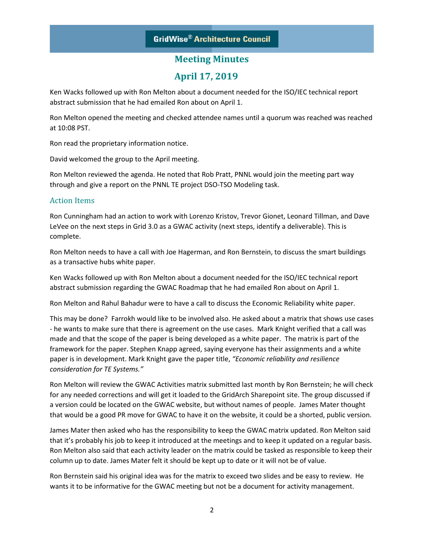# **April 17, 2019**

Ken Wacks followed up with Ron Melton about a document needed for the ISO/IEC technical report abstract submission that he had emailed Ron about on April 1.

Ron Melton opened the meeting and checked attendee names until a quorum was reached was reached at 10:08 PST.

Ron read the proprietary information notice.

David welcomed the group to the April meeting.

Ron Melton reviewed the agenda. He noted that Rob Pratt, PNNL would join the meeting part way through and give a report on the PNNL TE project DSO-TSO Modeling task.

#### Action Items

Ron Cunningham had an action to work with Lorenzo Kristov, Trevor Gionet, Leonard Tillman, and Dave LeVee on the next steps in Grid 3.0 as a GWAC activity (next steps, identify a deliverable). This is complete.

Ron Melton needs to have a call with Joe Hagerman, and Ron Bernstein, to discuss the smart buildings as a transactive hubs white paper.

Ken Wacks followed up with Ron Melton about a document needed for the ISO/IEC technical report abstract submission regarding the GWAC Roadmap that he had emailed Ron about on April 1.

Ron Melton and Rahul Bahadur were to have a call to discuss the Economic Reliability white paper.

This may be done? Farrokh would like to be involved also. He asked about a matrix that shows use cases - he wants to make sure that there is agreement on the use cases. Mark Knight verified that a call was made and that the scope of the paper is being developed as a white paper. The matrix is part of the framework for the paper. Stephen Knapp agreed, saying everyone has their assignments and a white paper is in development. Mark Knight gave the paper title, *"Economic reliability and resilience consideration for TE Systems."*

Ron Melton will review the GWAC Activities matrix submitted last month by Ron Bernstein; he will check for any needed corrections and will get it loaded to the GridArch Sharepoint site. The group discussed if a version could be located on the GWAC website, but without names of people. James Mater thought that would be a good PR move for GWAC to have it on the website, it could be a shorted, public version.

James Mater then asked who has the responsibility to keep the GWAC matrix updated. Ron Melton said that it's probably his job to keep it introduced at the meetings and to keep it updated on a regular basis. Ron Melton also said that each activity leader on the matrix could be tasked as responsible to keep their column up to date. James Mater felt it should be kept up to date or it will not be of value.

Ron Bernstein said his original idea was for the matrix to exceed two slides and be easy to review. He wants it to be informative for the GWAC meeting but not be a document for activity management.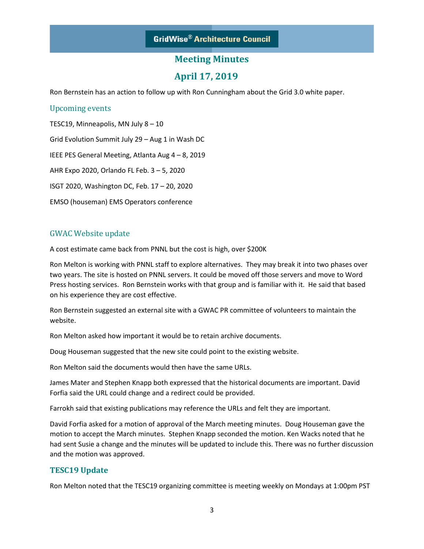### **April 17, 2019**

Ron Bernstein has an action to follow up with Ron Cunningham about the Grid 3.0 white paper.

#### Upcoming events

TESC19, Minneapolis, MN July 8 – 10 Grid Evolution Summit July 29 – Aug 1 in Wash DC IEEE PES General Meeting, Atlanta Aug 4 – 8, 2019 AHR Expo 2020, Orlando FL Feb. 3 – 5, 2020 ISGT 2020, Washington DC, Feb. 17 – 20, 2020 EMSO (houseman) EMS Operators conference

#### GWAC Website update

A cost estimate came back from PNNL but the cost is high, over \$200K

Ron Melton is working with PNNL staff to explore alternatives. They may break it into two phases over two years. The site is hosted on PNNL servers. It could be moved off those servers and move to Word Press hosting services. Ron Bernstein works with that group and is familiar with it. He said that based on his experience they are cost effective.

Ron Bernstein suggested an external site with a GWAC PR committee of volunteers to maintain the website.

Ron Melton asked how important it would be to retain archive documents.

Doug Houseman suggested that the new site could point to the existing website.

Ron Melton said the documents would then have the same URLs.

James Mater and Stephen Knapp both expressed that the historical documents are important. David Forfia said the URL could change and a redirect could be provided.

Farrokh said that existing publications may reference the URLs and felt they are important.

David Forfia asked for a motion of approval of the March meeting minutes. Doug Houseman gave the motion to accept the March minutes. Stephen Knapp seconded the motion. Ken Wacks noted that he had sent Susie a change and the minutes will be updated to include this. There was no further discussion and the motion was approved.

#### **TESC19 Update**

Ron Melton noted that the TESC19 organizing committee is meeting weekly on Mondays at 1:00pm PST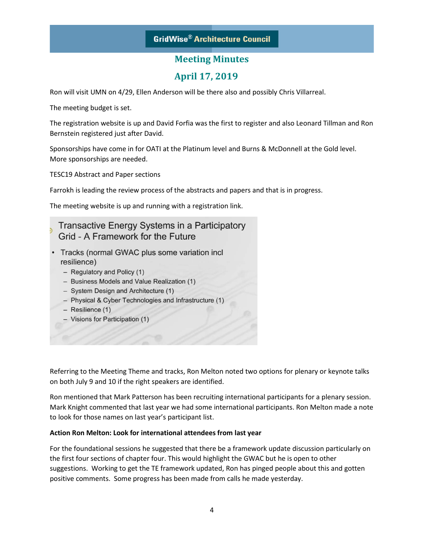## **April 17, 2019**

Ron will visit UMN on 4/29, Ellen Anderson will be there also and possibly Chris Villarreal.

The meeting budget is set.

The registration website is up and David Forfia was the first to register and also Leonard Tillman and Ron Bernstein registered just after David.

Sponsorships have come in for OATI at the Platinum level and Burns & McDonnell at the Gold level. More sponsorships are needed.

TESC19 Abstract and Paper sections

Farrokh is leading the review process of the abstracts and papers and that is in progress.

The meeting website is up and running with a registration link.

### Transactive Energy Systems in a Participatory Grid - A Framework for the Future

- Tracks (normal GWAC plus some variation incl resilience)
	- Regulatory and Policy (1)
	- Business Models and Value Realization (1)
	- System Design and Architecture (1)
	- Physical & Cyber Technologies and Infrastructure (1)
	- $-$  Resilience (1)
	- Visions for Participation (1)

Referring to the Meeting Theme and tracks, Ron Melton noted two options for plenary or keynote talks on both July 9 and 10 if the right speakers are identified.

Ron mentioned that Mark Patterson has been recruiting international participants for a plenary session. Mark Knight commented that last year we had some international participants. Ron Melton made a note to look for those names on last year's participant list.

#### **Action Ron Melton: Look for international attendees from last year**

For the foundational sessions he suggested that there be a framework update discussion particularly on the first four sections of chapter four. This would highlight the GWAC but he is open to other suggestions. Working to get the TE framework updated, Ron has pinged people about this and gotten positive comments. Some progress has been made from calls he made yesterday.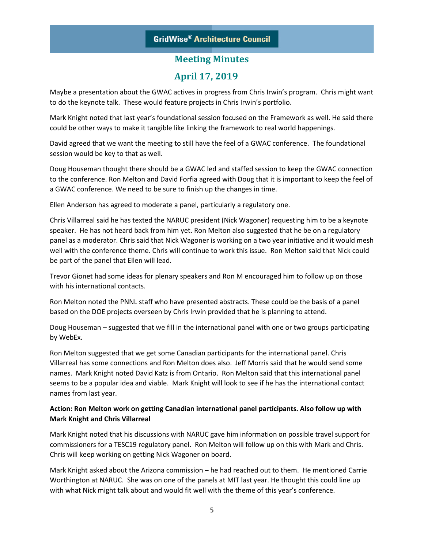# **GridWise® Architecture Council**

### **Meeting Minutes**

### **April 17, 2019**

Maybe a presentation about the GWAC actives in progress from Chris Irwin's program. Chris might want to do the keynote talk. These would feature projects in Chris Irwin's portfolio.

Mark Knight noted that last year's foundational session focused on the Framework as well. He said there could be other ways to make it tangible like linking the framework to real world happenings.

David agreed that we want the meeting to still have the feel of a GWAC conference. The foundational session would be key to that as well.

Doug Houseman thought there should be a GWAC led and staffed session to keep the GWAC connection to the conference. Ron Melton and David Forfia agreed with Doug that it is important to keep the feel of a GWAC conference. We need to be sure to finish up the changes in time.

Ellen Anderson has agreed to moderate a panel, particularly a regulatory one.

Chris Villarreal said he has texted the NARUC president (Nick Wagoner) requesting him to be a keynote speaker. He has not heard back from him yet. Ron Melton also suggested that he be on a regulatory panel as a moderator. Chris said that Nick Wagoner is working on a two year initiative and it would mesh well with the conference theme. Chris will continue to work this issue. Ron Melton said that Nick could be part of the panel that Ellen will lead.

Trevor Gionet had some ideas for plenary speakers and Ron M encouraged him to follow up on those with his international contacts.

Ron Melton noted the PNNL staff who have presented abstracts. These could be the basis of a panel based on the DOE projects overseen by Chris Irwin provided that he is planning to attend.

Doug Houseman – suggested that we fill in the international panel with one or two groups participating by WebEx.

Ron Melton suggested that we get some Canadian participants for the international panel. Chris Villarreal has some connections and Ron Melton does also. Jeff Morris said that he would send some names. Mark Knight noted David Katz is from Ontario. Ron Melton said that this international panel seems to be a popular idea and viable. Mark Knight will look to see if he has the international contact names from last year.

#### **Action: Ron Melton work on getting Canadian international panel participants. Also follow up with Mark Knight and Chris Villarreal**

Mark Knight noted that his discussions with NARUC gave him information on possible travel support for commissioners for a TESC19 regulatory panel. Ron Melton will follow up on this with Mark and Chris. Chris will keep working on getting Nick Wagoner on board.

Mark Knight asked about the Arizona commission – he had reached out to them. He mentioned Carrie Worthington at NARUC. She was on one of the panels at MIT last year. He thought this could line up with what Nick might talk about and would fit well with the theme of this year's conference.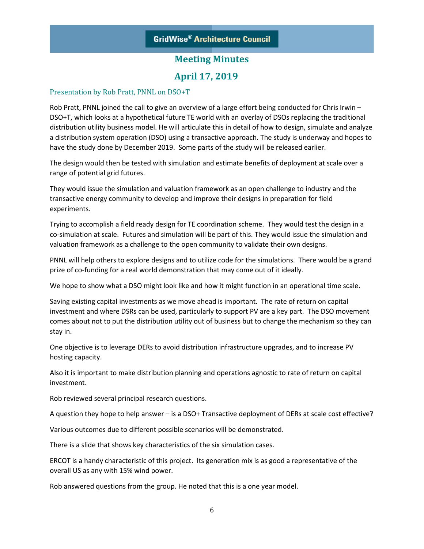### **April 17, 2019**

#### Presentation by Rob Pratt, PNNL on DSO+T

Rob Pratt, PNNL joined the call to give an overview of a large effort being conducted for Chris Irwin – DSO+T, which looks at a hypothetical future TE world with an overlay of DSOs replacing the traditional distribution utility business model. He will articulate this in detail of how to design, simulate and analyze a distribution system operation (DSO) using a transactive approach. The study is underway and hopes to have the study done by December 2019. Some parts of the study will be released earlier.

The design would then be tested with simulation and estimate benefits of deployment at scale over a range of potential grid futures.

They would issue the simulation and valuation framework as an open challenge to industry and the transactive energy community to develop and improve their designs in preparation for field experiments.

Trying to accomplish a field ready design for TE coordination scheme. They would test the design in a co-simulation at scale. Futures and simulation will be part of this. They would issue the simulation and valuation framework as a challenge to the open community to validate their own designs.

PNNL will help others to explore designs and to utilize code for the simulations. There would be a grand prize of co-funding for a real world demonstration that may come out of it ideally.

We hope to show what a DSO might look like and how it might function in an operational time scale.

Saving existing capital investments as we move ahead is important. The rate of return on capital investment and where DSRs can be used, particularly to support PV are a key part. The DSO movement comes about not to put the distribution utility out of business but to change the mechanism so they can stay in.

One objective is to leverage DERs to avoid distribution infrastructure upgrades, and to increase PV hosting capacity.

Also it is important to make distribution planning and operations agnostic to rate of return on capital investment.

Rob reviewed several principal research questions.

A question they hope to help answer – is a DSO+ Transactive deployment of DERs at scale cost effective?

Various outcomes due to different possible scenarios will be demonstrated.

There is a slide that shows key characteristics of the six simulation cases.

ERCOT is a handy characteristic of this project. Its generation mix is as good a representative of the overall US as any with 15% wind power.

Rob answered questions from the group. He noted that this is a one year model.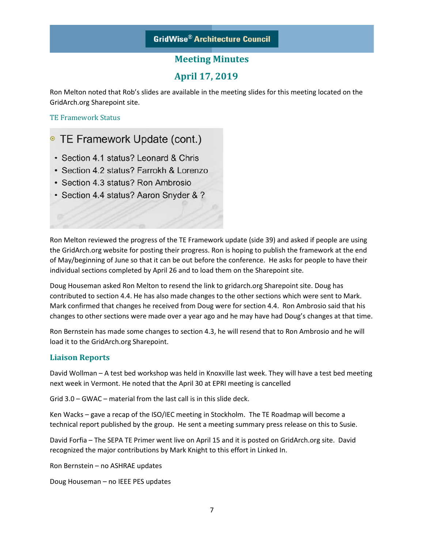### **April 17, 2019**

Ron Melton noted that Rob's slides are available in the meeting slides for this meeting located on the GridArch.org Sharepoint site.

TE Framework Status

# <sup>o</sup> TE Framework Update (cont.)

- · Section 4.1 status? Leonard & Chris
- Section 4.2 status? Farrokh & Lorenzo
- Section 4.3 status? Ron Ambrosio
- · Section 4.4 status? Aaron Snyder & ?

Ron Melton reviewed the progress of the TE Framework update (side 39) and asked if people are using the GridArch.org website for posting their progress. Ron is hoping to publish the framework at the end of May/beginning of June so that it can be out before the conference. He asks for people to have their individual sections completed by April 26 and to load them on the Sharepoint site.

Doug Houseman asked Ron Melton to resend the link to gridarch.org Sharepoint site. Doug has contributed to section 4.4. He has also made changes to the other sections which were sent to Mark. Mark confirmed that changes he received from Doug were for section 4.4. Ron Ambrosio said that his changes to other sections were made over a year ago and he may have had Doug's changes at that time.

Ron Bernstein has made some changes to section 4.3, he will resend that to Ron Ambrosio and he will load it to the GridArch.org Sharepoint.

#### **Liaison Reports**

David Wollman – A test bed workshop was held in Knoxville last week. They will have a test bed meeting next week in Vermont. He noted that the April 30 at EPRI meeting is cancelled

Grid 3.0 – GWAC – material from the last call is in this slide deck.

Ken Wacks – gave a recap of the ISO/IEC meeting in Stockholm. The TE Roadmap will become a technical report published by the group. He sent a meeting summary press release on this to Susie.

David Forfia – The SEPA TE Primer went live on April 15 and it is posted on GridArch.org site. David recognized the major contributions by Mark Knight to this effort in Linked In.

Ron Bernstein – no ASHRAE updates

Doug Houseman – no IEEE PES updates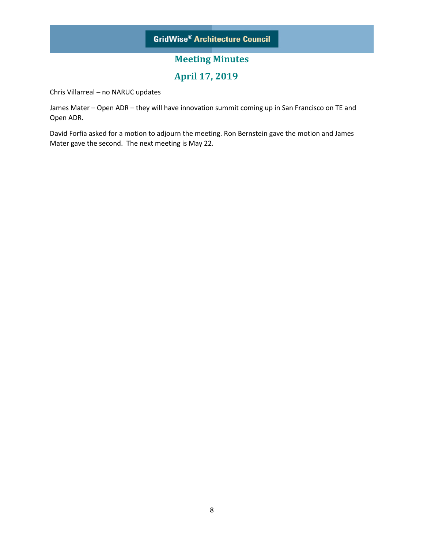# **April 17, 2019**

Chris Villarreal – no NARUC updates

James Mater – Open ADR – they will have innovation summit coming up in San Francisco on TE and Open ADR.

David Forfia asked for a motion to adjourn the meeting. Ron Bernstein gave the motion and James Mater gave the second. The next meeting is May 22.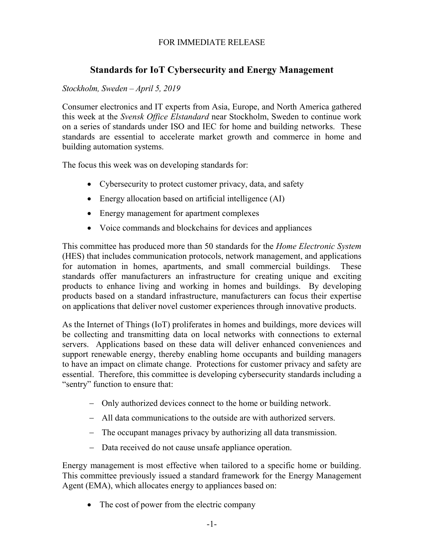### FOR IMMEDIATE RELEASE

# **Standards for IoT Cybersecurity and Energy Management**

### *Stockholm, Sweden – April 5, 2019*

Consumer electronics and IT experts from Asia, Europe, and North America gathered this week at the *Svensk Office Elstandard* near Stockholm, Sweden to continue work on a series of standards under ISO and IEC for home and building networks. These standards are essential to accelerate market growth and commerce in home and building automation systems.

The focus this week was on developing standards for:

- Cybersecurity to protect customer privacy, data, and safety
- Energy allocation based on artificial intelligence (AI)
- Energy management for apartment complexes
- Voice commands and blockchains for devices and appliances

This committee has produced more than 50 standards for the *Home Electronic System* (HES) that includes communication protocols, network management, and applications for automation in homes, apartments, and small commercial buildings. These standards offer manufacturers an infrastructure for creating unique and exciting products to enhance living and working in homes and buildings. By developing products based on a standard infrastructure, manufacturers can focus their expertise on applications that deliver novel customer experiences through innovative products.

As the Internet of Things (IoT) proliferates in homes and buildings, more devices will be collecting and transmitting data on local networks with connections to external servers. Applications based on these data will deliver enhanced conveniences and support renewable energy, thereby enabling home occupants and building managers to have an impact on climate change. Protections for customer privacy and safety are essential. Therefore, this committee is developing cybersecurity standards including a "sentry" function to ensure that:

- − Only authorized devices connect to the home or building network.
- − All data communications to the outside are with authorized servers.
- − The occupant manages privacy by authorizing all data transmission.
- − Data received do not cause unsafe appliance operation.

Energy management is most effective when tailored to a specific home or building. This committee previously issued a standard framework for the Energy Management Agent (EMA), which allocates energy to appliances based on:

• The cost of power from the electric company